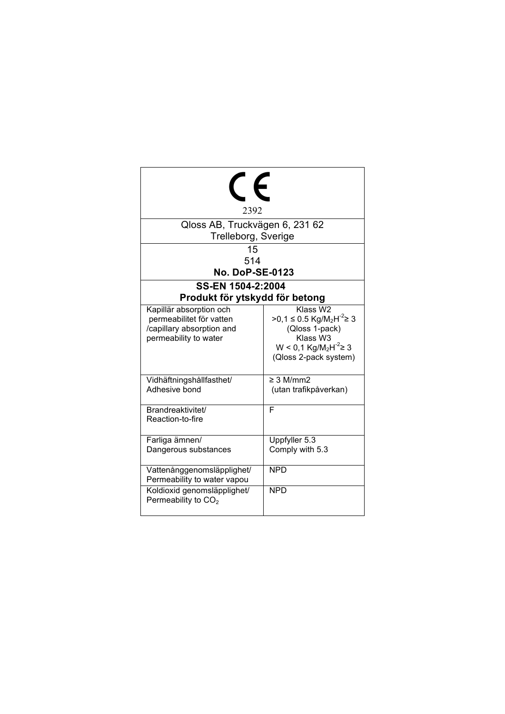| 2392                                                                                                      |                                                                                                                                                                        |  |  |
|-----------------------------------------------------------------------------------------------------------|------------------------------------------------------------------------------------------------------------------------------------------------------------------------|--|--|
| Qloss AB, Truckvägen 6, 231 62                                                                            |                                                                                                                                                                        |  |  |
| Trelleborg, Sverige                                                                                       |                                                                                                                                                                        |  |  |
| 15                                                                                                        |                                                                                                                                                                        |  |  |
| 514                                                                                                       |                                                                                                                                                                        |  |  |
| <b>No. DoP-SE-0123</b>                                                                                    |                                                                                                                                                                        |  |  |
| SS-EN 1504-2:2004                                                                                         |                                                                                                                                                                        |  |  |
| Produkt för ytskydd för betong                                                                            |                                                                                                                                                                        |  |  |
| Kapillär absorption och<br>permeabilitet för vatten<br>/capillary absorption and<br>permeability to water | Klass W2<br>>0,1 ≤ 0.5 Kg/M <sub>2</sub> H <sup>-2</sup> ≥ 3<br>(Qloss 1-pack)<br>Klass W3<br>$W < 0.1$ Kg/M <sub>2</sub> H <sup>-2</sup> ≥ 3<br>(Qloss 2-pack system) |  |  |
| Vidhäftningshållfasthet/<br>Adhesive bond                                                                 | $\geq$ 3 M/mm2<br>(utan trafikpåverkan)                                                                                                                                |  |  |
| Brandreaktivitet/<br>Reaction-to-fire                                                                     | F                                                                                                                                                                      |  |  |
| Farliga ämnen/<br>Dangerous substances                                                                    | Uppfyller 5.3<br>Comply with 5.3                                                                                                                                       |  |  |
| Vattenånggenomsläpplighet/<br>Permeability to water vapou                                                 | <b>NPD</b>                                                                                                                                                             |  |  |
| Koldioxid genomsläpplighet/<br>Permeability to CO <sub>2</sub>                                            | <b>NPD</b>                                                                                                                                                             |  |  |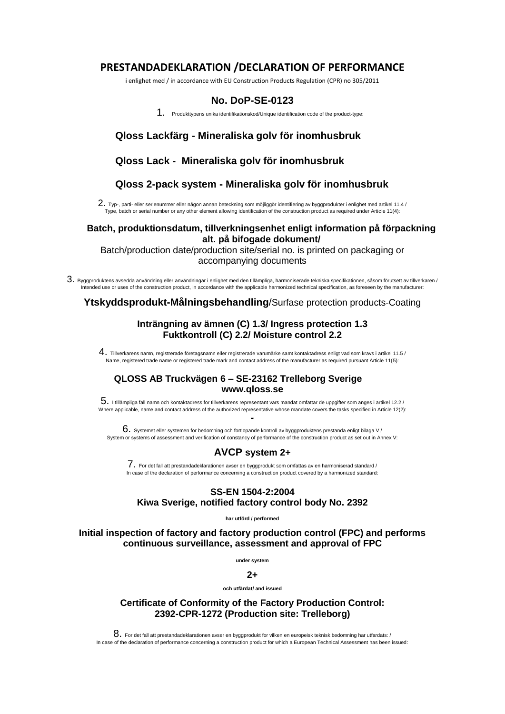# **PRESTANDADEKLARATION /DECLARATION OF PERFORMANCE**

i enlighet med / in accordance with EU Construction Products Regulation (CPR) no 305/2011

# **No. DoP-SE-0123**

1. Produkttypens unika identifikationskod/Unique identification code of the product-type:

# **Qloss Lackfärg - Mineraliska golv för inomhusbruk**

### **Qloss Lack - Mineraliska golv för inomhusbruk**

# **Qloss 2-pack system - Mineraliska golv för inomhusbruk**

 $2.$  Typ-, parti- eller serienummer eller någon annan beteckning som möjliggör identifiering av byggprodukter i enlighet med artikel 11.4 / Type, batch or serial number or any other element allowing identification of the construction product as required under Article 11(4):

#### **Batch, produktionsdatum, tillverkningsenhet enligt information på förpackning alt. på bifogade dokument/**

Batch/production date/production site/serial no. is printed on packaging or accompanying documents

3. Byggproduktens avsedda användning eller användningar i enlighet med den tillämpliga, harmoniserade tekniska specifikationen, såsom förutsett av tillverkaren / Intended use or uses of the construction product, in accordance with the applicable harmonized technical specification, as foreseen by the manufacturer:

**Ytskyddsprodukt-Målningsbehandling**/Surfase protection products-Coating

### **Inträngning av ämnen (C) 1.3/ Ingress protection 1.3 Fuktkontroll (C) 2.2/ Moisture control 2.2**

 $\,4.~$  Tillverkarens namn, registrerade företagsnamn eller registrerade varumärke samt kontaktadress enligt vad som kravs i artikel 11.5 / Name, registered trade name or registered trade mark and contact address of the manufacturer as required pursuant Article 11(5):

### **QLOSS AB Truckvägen 6 – SE-23162 Trelleborg Sverige www.qloss.se**

 $5.$  I tillämpliga fall namn och kontaktadress for tillverkarens representant vars mandat omfattar de uppgifter som anges i artikel 12.2 / Where applicable, name and contact address of the authorized representative whose mandate covers the tasks specified in Article 12(2): *-*

 $6.$  Systemet eller systemen for bedomning och fortlopande kontroll av byggproduktens prestanda enligt bilaga V / System or systems of assessment and verification of constancy of performance of the construction product as set out in Annex V:

# **AVCP system 2+**

7. For det fall att prestandadeklarationen avser en byggprodukt som omfattas av en harmoniserad standard / In case of the declaration of performance concerning a construction product covered by a harmonized standard:

#### **SS-EN 1504-2:2004 Kiwa Sverige, notified factory control body No. 2392**

**har utförd / performed** 

**Initial inspection of factory and factory production control (FPC) and performs continuous surveillance, assessment and approval of FPC** 

**under system** 

### $2+$

**och utfärdat/ and issued**

**Certificate of Conformity of the Factory Production Control: 2392-CPR-1272 (Production site: Trelleborg)**

 $8. \,$  For det fall att prestandadeklarationen avser en byggprodukt for vilken en europeisk teknisk bedömning har utfardats: / In case of the declaration of performance concerning a construction product for which a European Technical Assessment has been issued: